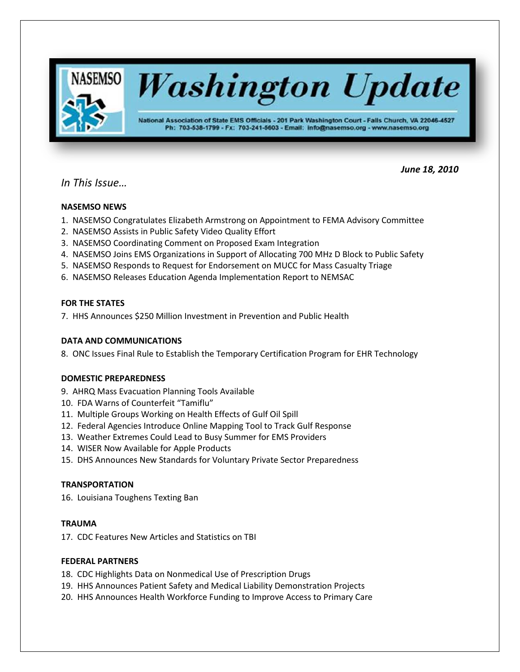

*In This Issue…*

# *June 18, 2010*

# **NASEMSO NEWS**

- 1. NASEMSO Congratulates Elizabeth Armstrong on Appointment to FEMA Advisory Committee
- 2. NASEMSO Assists in Public Safety Video Quality Effort
- 3. NASEMSO Coordinating Comment on Proposed Exam Integration
- 4. NASEMSO Joins EMS Organizations in Support of Allocating 700 MHz D Block to Public Safety
- 5. NASEMSO Responds to Request for Endorsement on MUCC for Mass Casualty Triage
- 6. NASEMSO Releases Education Agenda Implementation Report to NEMSAC

# **FOR THE STATES**

7. HHS Announces \$250 Million Investment in Prevention and Public Health

# **DATA AND COMMUNICATIONS**

8. ONC Issues Final Rule to Establish the Temporary Certification Program for EHR Technology

# **DOMESTIC PREPAREDNESS**

- 9. AHRQ Mass Evacuation Planning Tools Available
- 10. FDA Warns of Counterfeit "Tamiflu"
- 11. Multiple Groups Working on Health Effects of Gulf Oil Spill
- 12. Federal Agencies Introduce Online Mapping Tool to Track Gulf Response
- 13. Weather Extremes Could Lead to Busy Summer for EMS Providers
- 14. WISER Now Available for Apple Products
- 15. DHS Announces New Standards for Voluntary Private Sector Preparedness

# **TRANSPORTATION**

16. Louisiana Toughens Texting Ban

# **TRAUMA**

17. CDC Features New Articles and Statistics on TBI

# **FEDERAL PARTNERS**

- 18. CDC Highlights Data on Nonmedical Use of Prescription Drugs
- 19. HHS Announces Patient Safety and Medical Liability Demonstration Projects
- 20. HHS Announces Health Workforce Funding to Improve Access to Primary Care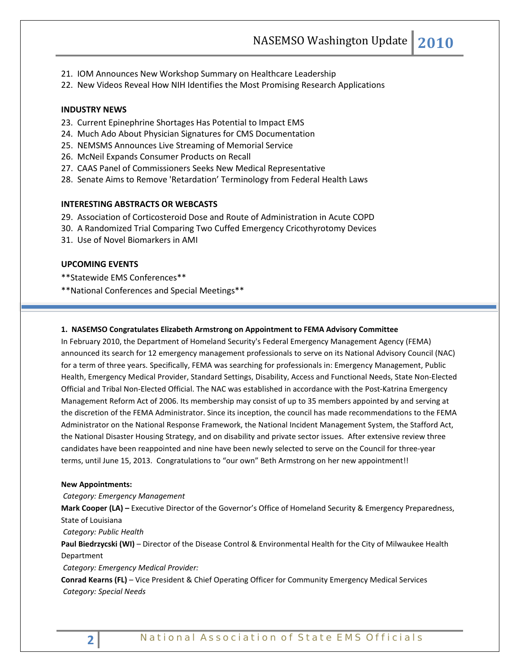- 21. IOM Announces New Workshop Summary on Healthcare Leadership
- 22. New Videos Reveal How NIH Identifies the Most Promising Research Applications

#### **INDUSTRY NEWS**

- 23. Current Epinephrine Shortages Has Potential to Impact EMS
- 24. Much Ado About Physician Signatures for CMS Documentation
- 25. NEMSMS Announces Live Streaming of Memorial Service
- 26. McNeil Expands Consumer Products on Recall
- 27. CAAS Panel of Commissioners Seeks New Medical Representative
- 28. Senate Aims to Remove 'Retardation' Terminology from Federal Health Laws

#### **INTERESTING ABSTRACTS OR WEBCASTS**

- 29. Association of Corticosteroid Dose and Route of Administration in Acute COPD
- 30. A Randomized Trial Comparing Two Cuffed Emergency Cricothyrotomy Devices
- 31. Use of Novel Biomarkers in AMI

### **UPCOMING EVENTS**

\*\*Statewide EMS Conferences\*\*

\*\*National Conferences and Special Meetings\*\*

### **1. NASEMSO Congratulates Elizabeth Armstrong on Appointment to FEMA Advisory Committee**

In February 2010, the Department of Homeland Security's Federal Emergency Management Agency (FEMA) announced its search for 12 emergency management professionals to serve on its National Advisory Council (NAC) for a term of three years. Specifically, FEMA was searching for professionals in: Emergency Management, Public Health, Emergency Medical Provider, Standard Settings, Disability, Access and Functional Needs, State Non-Elected Official and Tribal Non-Elected Official. The NAC was established in accordance with the Post-Katrina Emergency Management Reform Act of 2006. Its membership may consist of up to 35 members appointed by and serving at the discretion of the FEMA Administrator. Since its inception, the council has made recommendations to the FEMA Administrator on the National Response Framework, the National Incident Management System, the Stafford Act, the National Disaster Housing Strategy, and on disability and private sector issues. After extensive review three candidates have been reappointed and nine have been newly selected to serve on the Council for three-year terms, until June 15, 2013. Congratulations to "our own" Beth Armstrong on her new appointment!!

#### **New Appointments:**

*Category: Emergency Management*

**Mark Cooper (LA) –** Executive Director of the Governor's Office of Homeland Security & Emergency Preparedness, State of Louisiana

*Category: Public Health*

**Paul Biedrzycski (WI)** – Director of the Disease Control & Environmental Health for the City of Milwaukee Health Department

*Category: Emergency Medical Provider:* 

**Conrad Kearns (FL)** – Vice President & Chief Operating Officer for Community Emergency Medical Services *Category: Special Needs*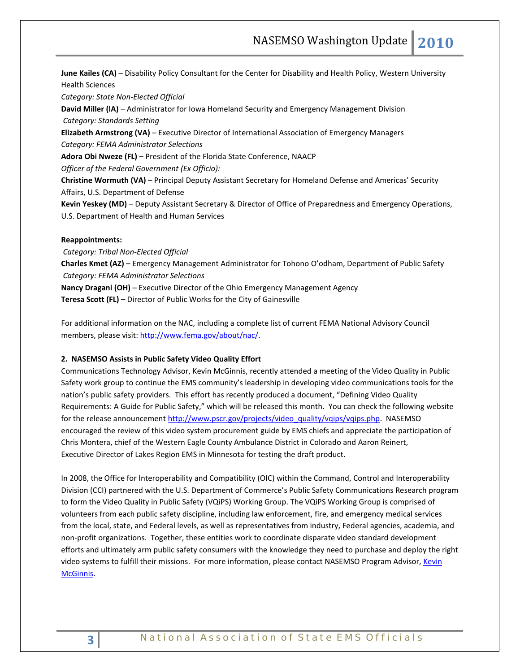**June Kailes (CA)** – Disability Policy Consultant for the Center for Disability and Health Policy, Western University Health Sciences

*Category: State Non-Elected Official*

**David Miller (IA)** – Administrator for Iowa Homeland Security and Emergency Management Division *Category: Standards Setting*

**Elizabeth Armstrong (VA)** – Executive Director of International Association of Emergency Managers *Category: FEMA Administrator Selections*

**Adora Obi Nweze (FL)** – President of the Florida State Conference, NAACP

*Officer of the Federal Government (Ex Officio):* 

**Christine Wormuth (VA)** – Principal Deputy Assistant Secretary for Homeland Defense and Americas' Security Affairs, U.S. Department of Defense

**Kevin Yeskey (MD)** – Deputy Assistant Secretary & Director of Office of Preparedness and Emergency Operations, U.S. Department of Health and Human Services

#### **Reappointments:**

*Category: Tribal Non-Elected Official* **Charles Kmet (AZ)** – Emergency Management Administrator for Tohono O'odham, Department of Public Safety *Category: FEMA Administrator Selections* **Nancy Dragani (OH)** – Executive Director of the Ohio Emergency Management Agency **Teresa Scott (FL)** – Director of Public Works for the City of Gainesville

For additional information on the NAC, including a complete list of current FEMA National Advisory Council members, please visit: [http://www.fema.gov/about/nac/.](http://www.fema.gov/about/nac/) 

### **2. NASEMSO Assists in Public Safety Video Quality Effort**

Communications Technology Advisor, Kevin McGinnis, recently attended a meeting of the Video Quality in Public Safety work group to continue the EMS community's leadership in developing video communications tools for the nation's public safety providers. This effort has recently produced a document, "Defining Video Quality Requirements: A Guide for Public Safety," which will be released this month. You can check the following website for the release announcemen[t http://www.pscr.gov/projects/video\\_quality/vqips/vqips.php.](http://www.pscr.gov/projects/video_quality/vqips/vqips.php) NASEMSO encouraged the review of this video system procurement guide by EMS chiefs and appreciate the participation of Chris Montera, chief of the Western Eagle County Ambulance District in Colorado and Aaron Reinert, Executive Director of Lakes Region EMS in Minnesota for testing the draft product.

In 2008, the Office for Interoperability and Compatibility (OIC) within the Command, Control and Interoperability Division (CCI) partnered with the U.S. Department of Commerce's Public Safety Communications Research program to form the Video Quality in Public Safety (VQiPS) Working Group. The VQiPS Working Group is comprised of volunteers from each public safety discipline, including law enforcement, fire, and emergency medical services from the local, state, and Federal levels, as well as representatives from industry, Federal agencies, academia, and non-profit organizations. Together, these entities work to coordinate disparate video standard development efforts and ultimately arm public safety consumers with the knowledge they need to purchase and deploy the right video systems to fulfill their missions. For more information, please contact NASEMSO Program Advisor[, Kevin](mailto:mcginnis@nasemso.org)  [McGinnis.](mailto:mcginnis@nasemso.org)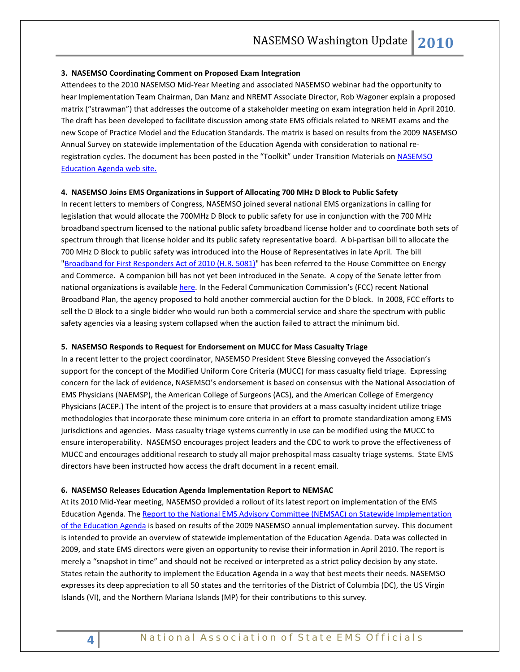#### **3. NASEMSO Coordinating Comment on Proposed Exam Integration**

Attendees to the 2010 NASEMSO Mid-Year Meeting and associated NASEMSO webinar had the opportunity to hear Implementation Team Chairman, Dan Manz and NREMT Associate Director, Rob Wagoner explain a proposed matrix ("strawman") that addresses the outcome of a stakeholder meeting on exam integration held in April 2010. The draft has been developed to facilitate discussion among state EMS officials related to NREMT exams and the new Scope of Practice Model and the Education Standards. The matrix is based on results from the 2009 NASEMSO Annual Survey on statewide implementation of the Education Agenda with consideration to national reregistration cycles. The document has been posted in the "Toolkit" under Transition Materials on [NASEMSO](http://www.nasemso.org/EMSEducationImplementationPlanning/index.asp)  [Education Agenda web site.](http://www.nasemso.org/EMSEducationImplementationPlanning/index.asp)

#### **4. NASEMSO Joins EMS Organizations in Support of Allocating 700 MHz D Block to Public Safety**

In recent letters to members of Congress, NASEMSO joined several national EMS organizations in calling for legislation that would allocate the 700MHz D Block to public safety for use in conjunction with the 700 MHz broadband spectrum licensed to the national public safety broadband license holder and to coordinate both sets of spectrum through that license holder and its public safety representative board. A bi-partisan bill to allocate the 700 MHz D Block to public safety was introduced into the House of Representatives in late April. The bill ["Broadband for First Responders Act of 2010 \(H.R. 5081\)"](http://thomas.loc.gov/cgi-bin/query/z?c111:H.R.5081:) has been referred to the House Committee on Energy and Commerce. A companion bill has not yet been introduced in the Senate. A copy of the Senate letter from national organizations is available [here.](http://www.npstc.org/documents/DBlockSenateJointLetter100616.pdf) In the Federal Communication Commission's (FCC) recent National Broadband Plan, the agency proposed to hold another commercial auction for the D block. In 2008, FCC efforts to sell the D Block to a single bidder who would run both a commercial service and share the spectrum with public safety agencies via a leasing system collapsed when the auction failed to attract the minimum bid.

#### **5. NASEMSO Responds to Request for Endorsement on MUCC for Mass Casualty Triage**

In a recent letter to the project coordinator, NASEMSO President Steve Blessing conveyed the Association's support for the concept of the Modified Uniform Core Criteria (MUCC) for mass casualty field triage. Expressing concern for the lack of evidence, NASEMSO's endorsement is based on consensus with the National Association of EMS Physicians (NAEMSP), the American College of Surgeons (ACS), and the American College of Emergency Physicians (ACEP.) The intent of the project is to ensure that providers at a mass casualty incident utilize triage methodologies that incorporate these minimum core criteria in an effort to promote standardization among EMS jurisdictions and agencies. Mass casualty triage systems currently in use can be modified using the MUCC to ensure interoperability. NASEMSO encourages project leaders and the CDC to work to prove the effectiveness of MUCC and encourages additional research to study all major prehospital mass casualty triage systems. State EMS directors have been instructed how access the draft document in a recent email.

#### **6. NASEMSO Releases Education Agenda Implementation Report to NEMSAC**

At its 2010 Mid-Year meeting, NASEMSO provided a rollout of its latest report on implementation of the EMS Education Agenda. The [Report to the National EMS Advisory Committee \(NEMSAC\) on Statewide Implementation](http://www.nasemso.org/EMSEducationImplementationPlanning/documents/ImplementingtheEMSEducationAgendaReporttoNEMSAC-May25_2010FINAL.pdf)  [of the Education Agenda](http://www.nasemso.org/EMSEducationImplementationPlanning/documents/ImplementingtheEMSEducationAgendaReporttoNEMSAC-May25_2010FINAL.pdf) is based on results of the 2009 NASEMSO annual implementation survey. This document is intended to provide an overview of statewide implementation of the Education Agenda. Data was collected in 2009, and state EMS directors were given an opportunity to revise their information in April 2010. The report is merely a "snapshot in time" and should not be received or interpreted as a strict policy decision by any state. States retain the authority to implement the Education Agenda in a way that best meets their needs. NASEMSO expresses its deep appreciation to all 50 states and the territories of the District of Columbia (DC), the US Virgin Islands (VI), and the Northern Mariana Islands (MP) for their contributions to this survey.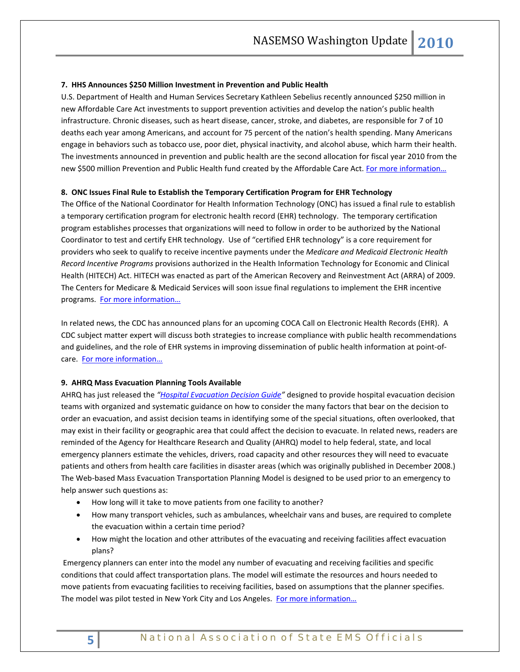#### **7. HHS Announces \$250 Million Investment in Prevention and Public Health**

U.S. Department of Health and Human Services Secretary Kathleen Sebelius recently announced \$250 million in new Affordable Care Act investments to support prevention activities and develop the nation's public health infrastructure. Chronic diseases, such as heart disease, cancer, stroke, and diabetes, are responsible for 7 of 10 deaths each year among Americans, and account for 75 percent of the nation's health spending. Many Americans engage in behaviors such as tobacco use, poor diet, physical inactivity, and alcohol abuse, which harm their health. The investments announced in prevention and public health are the second allocation for fiscal year 2010 from the new \$500 million Prevention and Public Health fund created by the Affordable Care Act. For more information...

#### **8. ONC Issues Final Rule to Establish the Temporary Certification Program for EHR Technology**

The Office of the National Coordinator for Health Information Technology (ONC) has issued a final rule to establish a temporary certification program for electronic health record (EHR) technology. The temporary certification program establishes processes that organizations will need to follow in order to be authorized by the National Coordinator to test and certify EHR technology. Use of "certified EHR technology" is a core requirement for providers who seek to qualify to receive incentive payments under the *Medicare and Medicaid Electronic Health Record Incentive Programs* provisions authorized in the Health Information Technology for Economic and Clinical Health (HITECH) Act. HITECH was enacted as part of the American Recovery and Reinvestment Act (ARRA) of 2009. The Centers for Medicare & Medicaid Services will soon issue final regulations to implement the EHR incentive programs. [For more information…](http://www.hhs.gov/news/press/2010pres/06/20100618d.html)

In related news, the CDC has announced plans for an upcoming COCA Call on Electronic Health Records (EHR). A CDC subject matter expert will discuss both strategies to increase compliance with public health recommendations and guidelines, and the role of EHR systems in improving dissemination of public health information at point-ofcare. For [more information…](http://emergency.cdc.gov/coca/callinfo.asp)

#### **9. AHRQ Mass Evacuation Planning Tools Available**

AHRQ has just released the *["Hospital Evacuation Decision Guide"](http://www.ahrq.gov/prep/hospevacguide/hospevac.pdf)* designed to provide hospital evacuation decision teams with organized and systematic guidance on how to consider the many factors that bear on the decision to order an evacuation, and assist decision teams in identifying some of the special situations, often overlooked, that may exist in their facility or geographic area that could affect the decision to evacuate. In related news, readers are reminded of the Agency for Healthcare Research and Quality (AHRQ) model to help federal, state, and local emergency planners estimate the vehicles, drivers, road capacity and other resources they will need to evacuate patients and others from health care facilities in disaster areas (which was originally published in December 2008.) The Web-based Mass Evacuation Transportation Planning Model is designed to be used prior to an emergency to help answer such questions as:

- How long will it take to move patients from one facility to another?
- How many transport vehicles, such as ambulances, wheelchair vans and buses, are required to complete the evacuation within a certain time period?
- How might the location and other attributes of the evacuating and receiving facilities affect evacuation plans?

Emergency planners can enter into the model any number of evacuating and receiving facilities and specific conditions that could affect transportation plans. The model will estimate the resources and hours needed to move patients from evacuating facilities to receiving facilities, based on assumptions that the planner specifies. The model was pilot tested in New York City and Los Angeles. For more information...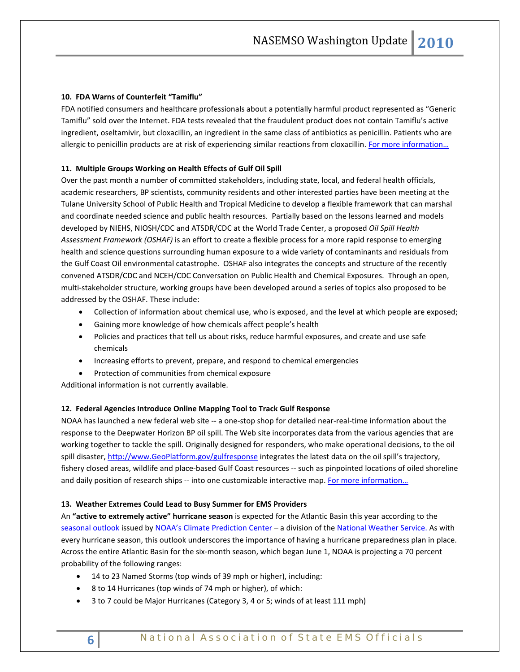### **10. FDA Warns of Counterfeit "Tamiflu"**

FDA notified consumers and healthcare professionals about a potentially harmful product represented as "Generic Tamiflu" sold over the Internet. FDA tests revealed that the fraudulent product does not contain Tamiflu's active ingredient, oseltamivir, but cloxacillin, an ingredient in the same class of antibiotics as penicillin. Patients who are allergic to penicillin products are at risk of experiencing similar reactions from cloxacillin. For more information...

#### **11. Multiple Groups Working on Health Effects of Gulf Oil Spill**

Over the past month a number of committed stakeholders, including state, local, and federal health officials, academic researchers, BP scientists, community residents and other interested parties have been meeting at the Tulane University School of Public Health and Tropical Medicine to develop a flexible framework that can marshal and coordinate needed science and public health resources. Partially based on the lessons learned and models developed by NIEHS, NIOSH/CDC and ATSDR/CDC at the World Trade Center, a proposed *Oil Spill Health Assessment Framework (OSHAF)* is an effort to create a flexible process for a more rapid response to emerging health and science questions surrounding human exposure to a wide variety of contaminants and residuals from the Gulf Coast Oil environmental catastrophe. OSHAF also integrates the concepts and structure of the recently convened ATSDR/CDC and NCEH/CDC Conversation on Public Health and Chemical Exposures. Through an open, multi-stakeholder structure, working groups have been developed around a series of topics also proposed to be addressed by the OSHAF. These include:

- Collection of information about chemical use, who is exposed, and the level at which people are exposed;
- Gaining more knowledge of how chemicals affect people's health
- Policies and practices that tell us about risks, reduce harmful exposures, and create and use safe chemicals
- Increasing efforts to prevent, prepare, and respond to chemical emergencies
- Protection of communities from chemical exposure

Additional information is not currently available.

#### **12. Federal Agencies Introduce Online Mapping Tool to Track Gulf Response**

NOAA has launched a new federal web site -- a one-stop shop for detailed near-real-time information about the response to the Deepwater Horizon BP oil spill. The Web site incorporates data from the various agencies that are working together to tackle the spill. Originally designed for responders, who make operational decisions, to the oil spill disaster, [http://www.GeoPlatform.gov/gulfresponse](http://www.geoplatform.gov/gulfresponse) integrates the latest data on the oil spill's trajectory, fishery closed areas, wildlife and place-based Gulf Coast resources -- such as pinpointed locations of oiled shoreline and daily position of research ships -- into one customizable interactive map. For more information...

#### **13. Weather Extremes Could Lead to Busy Summer for EMS Providers**

An **"active to extremely active" hurricane season** is expected for the Atlantic Basin this year according to the [seasonal outlook](http://www.cpc.noaa.gov/products/outlooks/hurricane.shtml) issued by [NOAA's Climate Prediction Center](http://www.cpc.noaa.gov/) – a division of the [National Weather Service.](http://www.nws.noaa.gov/) As with every hurricane season, this outlook underscores the importance of having a hurricane preparedness plan in place. Across the entire Atlantic Basin for the six-month season, which began June 1, NOAA is projecting a 70 percent probability of the following ranges:

- 14 to 23 Named Storms (top winds of 39 mph or higher), including:
- 8 to 14 Hurricanes (top winds of 74 mph or higher), of which:
- 3 to 7 could be Major Hurricanes (Category 3, 4 or 5; winds of at least 111 mph)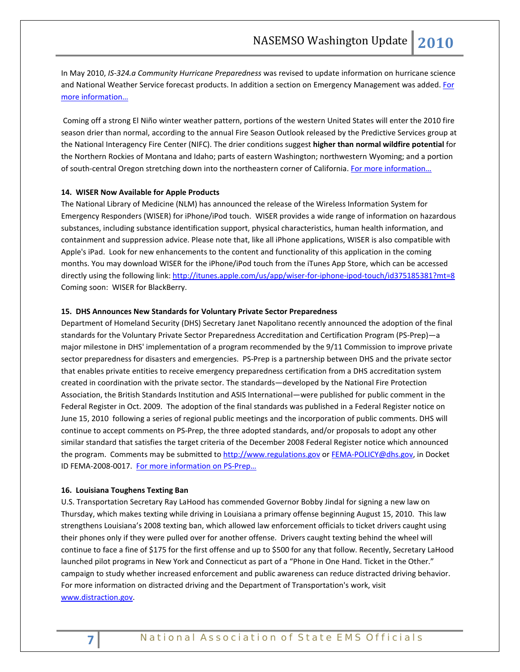In May 2010, *IS-324.a Community Hurricane Preparedness* was revised to update information on hurricane science and National Weather Service forecast products. In addition a section on Emergency Management was added. [For](http://www.training.fema.gov/EMIWeb/IS/is324a.asp) [more information…](http://www.training.fema.gov/EMIWeb/IS/is324a.asp)

Coming off a strong El Niño winter weather pattern, portions of the western United States will enter the 2010 fire season drier than normal, according to the annual Fire Season Outlook released by the Predictive Services group at the National Interagency Fire Center (NIFC). The drier conditions suggest **higher than normal wildfire potential** for the Northern Rockies of Montana and Idaho; parts of eastern Washington; northwestern Wyoming; and a portion of south-central Oregon stretching down into the northeastern corner of California. For more information...

### **14. WISER Now Available for Apple Products**

The National Library of Medicine (NLM) has announced the release of the Wireless Information System for Emergency Responders (WISER) for iPhone/iPod touch. WISER provides a wide range of information on hazardous substances, including substance identification support, physical characteristics, human health information, and containment and suppression advice. Please note that, like all iPhone applications, WISER is also compatible with Apple's iPad. Look for new enhancements to the content and functionality of this application in the coming months. You may download WISER for the iPhone/iPod touch from the iTunes App Store, which can be accessed directly using the following link: <http://itunes.apple.com/us/app/wiser-for-iphone-ipod-touch/id375185381?mt=8> Coming soon: WISER for BlackBerry.

#### **15. DHS Announces New Standards for Voluntary Private Sector Preparedness**

Department of Homeland Security (DHS) Secretary Janet Napolitano recently announced the adoption of the final standards for the Voluntary Private Sector Preparedness Accreditation and Certification Program (PS-Prep)—a major milestone in DHS' implementation of a program recommended by the 9/11 Commission to improve private sector preparedness for disasters and emergencies. PS-Prep is a partnership between DHS and the private sector that enables private entities to receive emergency preparedness certification from a DHS accreditation system created in coordination with the private sector. The standards—developed by the National Fire Protection Association, the British Standards Institution and ASIS International—were published for public comment in the Federal Register in Oct. 2009. The adoption of the final standards was published in a Federal Register notice on June 15, 2010 following a series of regional public meetings and the incorporation of public comments. DHS will continue to accept comments on PS-Prep, the three adopted standards, and/or proposals to adopt any other similar standard that satisfies the target criteria of the December 2008 Federal Register notice which announced the program. Comments may be submitted to [http://www.regulations.gov](http://www.regulations.gov/) o[r FEMA-POLICY@dhs.gov,](mailto:FEMA-POLICY@dhs.gov) in Docket ID FEMA-2008-0017. [For more information](http://www.fema.gov/privatesector/preparedness/index.htm) on PS-Prep…

#### **16. Louisiana Toughens Texting Ban**

U.S. Transportation Secretary Ray LaHood has commended Governor Bobby Jindal for signing a new law on Thursday, which makes texting while driving in Louisiana a primary offense beginning August 15, 2010. This law strengthens Louisiana's 2008 texting ban, which allowed law enforcement officials to ticket drivers caught using their phones only if they were pulled over for another offense. Drivers caught texting behind the wheel will continue to face a fine of \$175 for the first offense and up to \$500 for any that follow. Recently, Secretary LaHood launched pilot programs in New York and Connecticut as part of a "Phone in One Hand. Ticket in the Other." campaign to study whether increased enforcement and public awareness can reduce distracted driving behavior. For more information on distracted driving and the Department of Transportation's work, visit www.distraction.gov.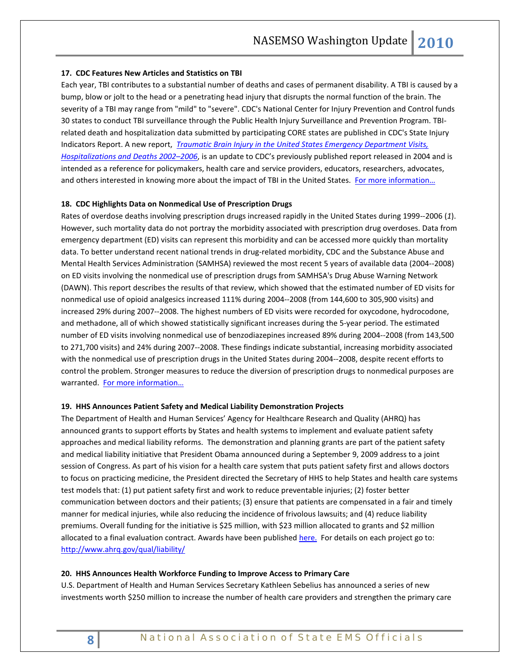#### **17. CDC Features New Articles and Statistics on TBI**

Each year, TBI contributes to a substantial number of deaths and cases of permanent disability. A TBI is caused by a bump, blow or jolt to the head or a penetrating head injury that disrupts the normal function of the brain. The severity of a TBI may range from "mild" to "severe". CDC's National Center for Injury Prevention and Control funds 30 states to conduct TBI surveillance through the Public Health Injury Surveillance and Prevention Program. TBIrelated death and hospitalization data submitted by participating CORE states are published in CDC's State Injury Indicators Report. A new report, *[Traumatic Brain Injury in the United States Emergency Department Visits,](http://www.cdc.gov/traumaticbraininjury/pdf/blue_book.pdf)  [Hospitalizations and Deaths 2002–2006](http://www.cdc.gov/traumaticbraininjury/pdf/blue_book.pdf)*, is an update to CDC's previously published report released in 2004 and is intended as a reference for policymakers, health care and service providers, educators, researchers, advocates, and others interested in knowing more about the impact of TBI in the United States. For more information...

#### **18. CDC Highlights Data on Nonmedical Use of Prescription Drugs**

Rates of overdose deaths involving prescription drugs increased rapidly in the United States during 1999--2006 (*1*). However, such mortality data do not portray the morbidity associated with prescription drug overdoses. Data from emergency department (ED) visits can represent this morbidity and can be accessed more quickly than mortality data. To better understand recent national trends in drug-related morbidity, CDC and the Substance Abuse and Mental Health Services Administration (SAMHSA) reviewed the most recent 5 years of available data (2004--2008) on ED visits involving the nonmedical use of prescription drugs from SAMHSA's Drug Abuse Warning Network (DAWN). This report describes the results of that review, which showed that the estimated number of ED visits for nonmedical use of opioid analgesics increased 111% during 2004--2008 (from 144,600 to 305,900 visits) and increased 29% during 2007--2008. The highest numbers of ED visits were recorded for oxycodone, hydrocodone, and methadone, all of which showed statistically significant increases during the 5-year period. The estimated number of ED visits involving nonmedical use of benzodiazepines increased 89% during 2004--2008 (from 143,500 to 271,700 visits) and 24% during 2007--2008. These findings indicate substantial, increasing morbidity associated with the nonmedical use of prescription drugs in the United States during 2004--2008, despite recent efforts to control the problem. Stronger measures to reduce the diversion of prescription drugs to nonmedical purposes are warranted. For more information...

#### **19. HHS Announces Patient Safety and Medical Liability Demonstration Projects**

The Department of Health and Human Services' Agency for Healthcare Research and Quality (AHRQ) has announced grants to support efforts by States and health systems to implement and evaluate patient safety approaches and medical liability reforms. The demonstration and planning grants are part of the patient safety and medical liability initiative that President Obama announced during a September 9, 2009 address to a joint session of Congress. As part of his vision for a health care system that puts patient safety first and allows doctors to focus on practicing medicine, the President directed the Secretary of HHS to help States and health care systems test models that: (1) put patient safety first and work to reduce preventable injuries; (2) foster better communication between doctors and their patients; (3) ensure that patients are compensated in a fair and timely manner for medical injuries, while also reducing the incidence of frivolous lawsuits; and (4) reduce liability premiums. Overall funding for the initiative is \$25 million, with \$23 million allocated to grants and \$2 million allocated to a final evaluation contract. Awards have been published [here.](http://www.hhs.gov/news/press/2010pres/06/20100611a.html) For details on each project go to: <http://www.ahrq.gov/qual/liability/>

#### **20. HHS Announces Health Workforce Funding to Improve Access to Primary Care**

U.S. Department of Health and Human Services Secretary Kathleen Sebelius has announced a series of new investments worth \$250 million to increase the number of health care providers and strengthen the primary care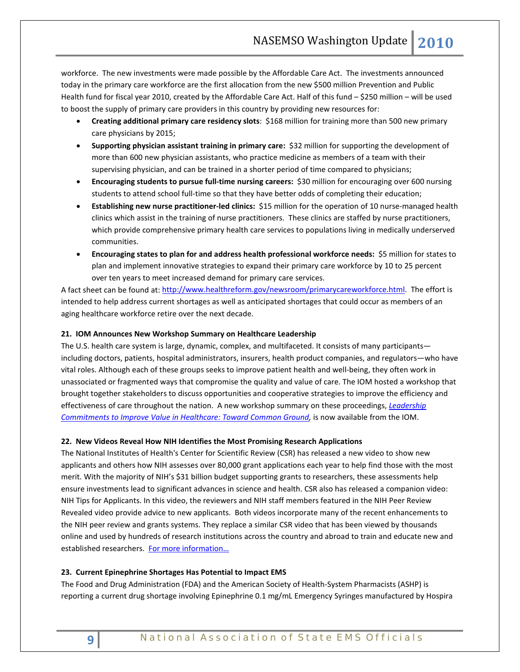workforce. The new investments were made possible by the Affordable Care Act. The investments announced today in the primary care workforce are the first allocation from the new \$500 million Prevention and Public Health fund for fiscal year 2010, created by the Affordable Care Act. Half of this fund – \$250 million – will be used to boost the supply of primary care providers in this country by providing new resources for:

- **Creating additional primary care residency slots**: \$168 million for training more than 500 new primary care physicians by 2015;
- **Supporting physician assistant training in primary care:** \$32 million for supporting the development of more than 600 new physician assistants, who practice medicine as members of a team with their supervising physician, and can be trained in a shorter period of time compared to physicians;
- **Encouraging students to pursue full-time nursing careers:** \$30 million for encouraging over 600 nursing students to attend school full-time so that they have better odds of completing their education;
- **Establishing new nurse practitioner-led clinics:** \$15 million for the operation of 10 nurse-managed health clinics which assist in the training of nurse practitioners. These clinics are staffed by nurse practitioners, which provide comprehensive primary health care services to populations living in medically underserved communities.
- **Encouraging states to plan for and address health professional workforce needs:** \$5 million for states to plan and implement innovative strategies to expand their primary care workforce by 10 to 25 percent over ten years to meet increased demand for primary care services.

A fact sheet can be found at: [http://www.healthreform.gov/newsroom/primarycareworkforce.html.](http://www.healthreform.gov/newsroom/primarycareworkforce.html) The effort is intended to help address current shortages as well as anticipated shortages that could occur as members of an aging healthcare workforce retire over the next decade.

### **21. IOM Announces New Workshop Summary on Healthcare Leadership**

The U.S. health care system is large, dynamic, complex, and multifaceted. It consists of many participants including doctors, patients, hospital administrators, insurers, health product companies, and regulators—who have vital roles. Although each of these groups seeks to improve patient health and well-being, they often work in unassociated or fragmented ways that compromise the quality and value of care. The IOM hosted a workshop that brought together stakeholders to discuss opportunities and cooperative strategies to improve the efficiency and effectiveness of care throughout the nation. A new workshop summary on these proceedings, *[Leadership](http://www.iom.edu/Reports/2010/Leadership-Commitments-to-Improve-Value-in-Healthcare-Toward-Common-Ground.aspx)  [Commitments to Improve Value in Healthcare: Toward Common Ground,](http://www.iom.edu/Reports/2010/Leadership-Commitments-to-Improve-Value-in-Healthcare-Toward-Common-Ground.aspx)* is now available from the IOM.

### **22. New Videos Reveal How NIH Identifies the Most Promising Research Applications**

The National Institutes of Health's Center for Scientific Review (CSR) has released a new video to show new applicants and others how NIH assesses over 80,000 grant applications each year to help find those with the most merit. With the majority of NIH's \$31 billion budget supporting grants to researchers, these assessments help ensure investments lead to significant advances in science and health. CSR also has released a companion video: NIH Tips for Applicants. In this video, the reviewers and NIH staff members featured in the NIH Peer Review Revealed video provide advice to new applicants. Both videos incorporate many of the recent enhancements to the NIH peer review and grants systems. They replace a similar CSR video that has been viewed by thousands online and used by hundreds of research institutions across the country and abroad to train and educate new and established researchers. [For more information…](http://www.nih.gov/news/health/jun2010/csr-16.htm)

### **23. Current Epinephrine Shortages Has Potential to Impact EMS**

The Food and Drug Administration (FDA) and the American Society of Health-System Pharmacists (ASHP) is reporting a current drug shortage involving Epinephrine 0.1 mg/mL Emergency Syringes manufactured by Hospira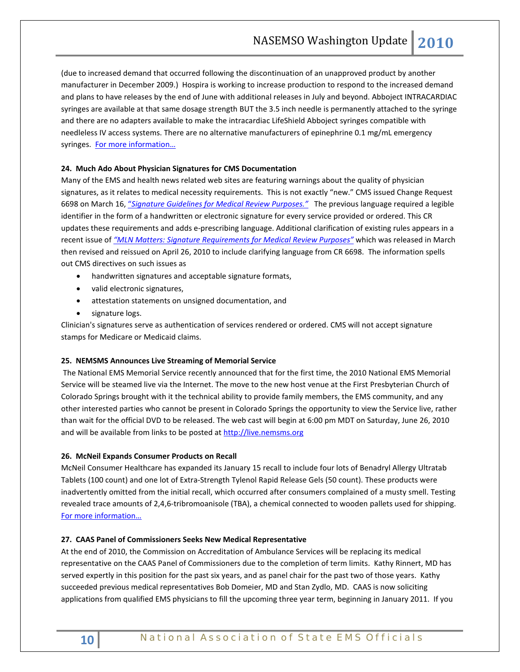(due to increased demand that occurred following the discontinuation of an unapproved product by another manufacturer in December 2009.) Hospira is working to increase production to respond to the increased demand and plans to have releases by the end of June with additional releases in July and beyond. Abboject INTRACARDIAC syringes are available at that same dosage strength BUT the 3.5 inch needle is permanently attached to the syringe and there are no adapters available to make the intracardiac LifeShield Abboject syringes compatible with needleless IV access systems. There are no alternative manufacturers of epinephrine 0.1 mg/mL emergency syringes. For more information...

#### **24. Much Ado About Physician Signatures for CMS Documentation**

Many of the EMS and health news related web sites are featuring warnings about the quality of physician signatures, as it relates to medical necessity requirements. This is not exactly "new." CMS issued Change Request 6698 on March 16, "*[Signature Guidelines for Medical Review Purposes."](http://www2.cms.gov/transmittals/downloads/R327PI.pdf)* The previous language required a legible identifier in the form of a handwritten or electronic signature for every service provided or ordered. This CR updates these requirements and adds e-prescribing language. Additional clarification of existing rules appears in a recent issue of *["MLN Matters: Signature Requirements for Medical Review Purposes"](http://www.cms.gov/MLNMattersArticles/downloads/MM6698.pdf)* which was released in March then revised and reissued on April 26, 2010 to include clarifying language from CR 6698. The information spells out CMS directives on such issues as

- handwritten signatures and acceptable signature formats,
- valid electronic signatures,
- attestation statements on unsigned documentation, and
- signature logs.

Clinician's signatures serve as authentication of services rendered or ordered. CMS will not accept signature stamps for Medicare or Medicaid claims.

#### **25. NEMSMS Announces Live Streaming of Memorial Service**

The National EMS Memorial Service recently announced that for the first time, the 2010 National EMS Memorial Service will be steamed live via the Internet. The move to the new host venue at the First Presbyterian Church of Colorado Springs brought with it the technical ability to provide family members, the EMS community, and any other interested parties who cannot be present in Colorado Springs the opportunity to view the Service live, rather than wait for the official DVD to be released. The web cast will begin at 6:00 pm MDT on Saturday, June 26, 2010 and will be available from links to be posted at [http://live.nemsms.org](http://live.nemsms.org/)

#### **26. McNeil Expands Consumer Products on Recall**

McNeil Consumer Healthcare has expanded its January 15 recall to include four lots of Benadryl Allergy Ultratab Tablets (100 count) and one lot of Extra-Strength Tylenol Rapid Release Gels (50 count). These products were inadvertently omitted from the initial recall, which occurred after consumers complained of a musty smell. Testing revealed trace amounts of 2,4,6-tribromoanisole (TBA), a chemical connected to wooden pallets used for shipping. [For more information…](http://www.mcneilproductrecall.com/index.jhtml)

#### **27. CAAS Panel of Commissioners Seeks New Medical Representative**

At the end of 2010, the Commission on Accreditation of Ambulance Services will be replacing its medical representative on the CAAS Panel of Commissioners due to the completion of term limits. Kathy Rinnert, MD has served expertly in this position for the past six years, and as panel chair for the past two of those years. Kathy succeeded previous medical representatives Bob Domeier, MD and Stan Zydlo, MD. CAAS is now soliciting applications from qualified EMS physicians to fill the upcoming three year term, beginning in January 2011. If you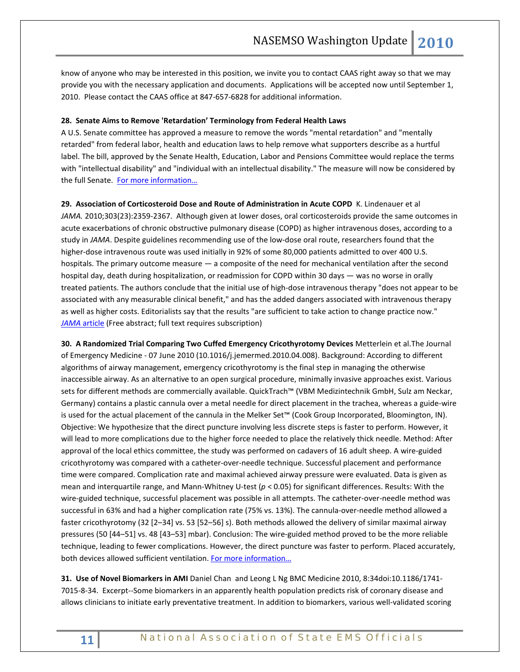know of anyone who may be interested in this position, we invite you to contact CAAS right away so that we may provide you with the necessary application and documents. Applications will be accepted now until September 1, 2010. Please contact the CAAS office at 847-657-6828 for additional information.

#### **28. Senate Aims to Remove 'Retardation' Terminology from Federal Health Laws**

A U.S. Senate committee has approved a measure to remove the words "mental retardation" and "mentally retarded" from federal labor, health and education laws to help remove what supporters describe as a hurtful label. The bill, approved by the Senate Health, Education, Labor and Pensions Committee would replace the terms with "intellectual disability" and "individual with an intellectual disability." The measure will now be considered by the full Senate. [For more information…](http://www.examiner.com/x-22905-DC-Disability-Examiner~y2010m6d16-Federal-Update-Rosas-Law)

**29. Association of Corticosteroid Dose and Route of Administration in Acute COPD** K. Lindenauer et al *JAMA.* 2010;303(23):2359-2367. Although given at lower doses, oral corticosteroids provide the same outcomes in acute exacerbations of chronic obstructive pulmonary disease (COPD) as higher intravenous doses, according to a study in *JAMA*. Despite guidelines recommending use of the low-dose oral route, researchers found that the higher-dose intravenous route was used initially in 92% of some 80,000 patients admitted to over 400 U.S. hospitals. The primary outcome measure — a composite of the need for mechanical ventilation after the second hospital day, death during hospitalization, or readmission for COPD within 30 days — was no worse in orally treated patients. The authors conclude that the initial use of high-dose intravenous therapy "does not appear to be associated with any measurable clinical benefit," and has the added dangers associated with intravenous therapy as well as higher costs. Editorialists say that the results "are sufficient to take action to change practice now." *JAMA* [article](http://jama.ama-assn.org/cgi/content/short/303/23/2359) (Free abstract; full text requires subscription)

**30. A Randomized Trial Comparing Two Cuffed Emergency Cricothyrotomy Devices** Metterlein et al.The Journal of Emergency Medicine - 07 June 2010 (10.1016/j.jemermed.2010.04.008). Background: According to different algorithms of airway management, emergency cricothyrotomy is the final step in managing the otherwise inaccessible airway. As an alternative to an open surgical procedure, minimally invasive approaches exist. Various sets for different methods are commercially available. QuickTrach™ (VBM Medizintechnik GmbH, Sulz am Neckar, Germany) contains a plastic cannula over a metal needle for direct placement in the trachea, whereas a guide-wire is used for the actual placement of the cannula in the Melker Set™ (Cook Group Incorporated, Bloomington, IN). Objective: We hypothesize that the direct puncture involving less discrete steps is faster to perform. However, it will lead to more complications due to the higher force needed to place the relatively thick needle. Method: After approval of the local ethics committee, the study was performed on cadavers of 16 adult sheep. A wire-guided cricothyrotomy was compared with a catheter-over-needle technique. Successful placement and performance time were compared. Complication rate and maximal achieved airway pressure were evaluated. Data is given as mean and interquartile range, and Mann-Whitney U-test (*p* < 0.05) for significant differences. Results: With the wire-guided technique, successful placement was possible in all attempts. The catheter-over-needle method was successful in 63% and had a higher complication rate (75% vs. 13%). The cannula-over-needle method allowed a faster cricothyrotomy (32 [2–34] vs. 53 [52–56] s). Both methods allowed the delivery of similar maximal airway pressures (50 [44–51] vs. 48 [43–53] mbar). Conclusion: The wire-guided method proved to be the more reliable technique, leading to fewer complications. However, the direct puncture was faster to perform. Placed accurately, both devices allowed sufficient ventilation. For more information...

**31. Use of Novel Biomarkers in AMI** Daniel Chan and Leong L Ng BMC Medicine 2010, 8:34doi:10.1186/1741- 7015-8-34. Excerpt--Some biomarkers in an apparently health population predicts risk of coronary disease and allows clinicians to initiate early preventative treatment. In addition to biomarkers, various well-validated scoring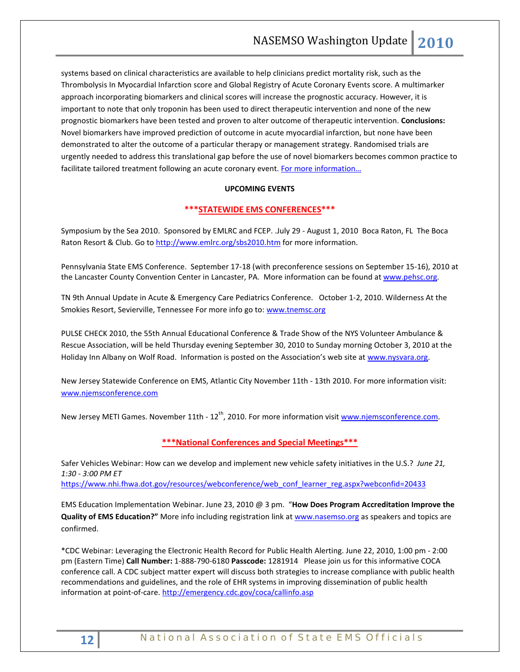systems based on clinical characteristics are available to help clinicians predict mortality risk, such as the Thrombolysis In Myocardial Infarction score and Global Registry of Acute Coronary Events score. A multimarker approach incorporating biomarkers and clinical scores will increase the prognostic accuracy. However, it is important to note that only troponin has been used to direct therapeutic intervention and none of the new prognostic biomarkers have been tested and proven to alter outcome of therapeutic intervention. **Conclusions:**  Novel biomarkers have improved prediction of outcome in acute myocardial infarction, but none have been demonstrated to alter the outcome of a particular therapy or management strategy. Randomised trials are urgently needed to address this translational gap before the use of novel biomarkers becomes common practice to facilitate tailored treatment following an acute coronary event. For more information...

### **UPCOMING EVENTS**

### **\*\*\*STATEWIDE EMS CONFERENCES\*\*\***

Symposium by the Sea 2010. Sponsored by EMLRC and FCEP. .July 29 - August 1, 2010 Boca Raton, FL The Boca Raton Resort & Club. Go to<http://www.emlrc.org/sbs2010.htm> for more information.

Pennsylvania State EMS Conference. September 17-18 (with preconference sessions on September 15-16), 2010 at the Lancaster County Convention Center in Lancaster, PA. More information can be found a[t www.pehsc.org.](http://www.pehsc.org/)

TN 9th Annual Update in Acute & Emergency Care Pediatrics Conference. October 1-2, 2010. Wilderness At the Smokies Resort, Sevierville, Tennessee For more info go to: [www.tnemsc.org](http://www.tnemsc.org/)

PULSE CHECK 2010, the 55th Annual Educational Conference & Trade Show of the NYS Volunteer Ambulance & Rescue Association, will be held Thursday evening September 30, 2010 to Sunday morning October 3, 2010 at the Holiday Inn Albany on Wolf Road. Information is posted on the Association's web site at [www.nysvara.org.](http://www.nysvara.org/)

New Jersey Statewide Conference on EMS, Atlantic City November 11th - 13th 2010. For more information visit: [www.njemsconference.com](http://www.njemsconference.com/)

New Jersey METI Games. November 11th - 12<sup>th</sup>, 2010. For more information visit [www.njemsconference.com.](http://www.njemsconference.com/)

### **\*\*\*National Conferences and Special Meetings\*\*\***

Safer Vehicles Webinar: How can we develop and implement new vehicle safety initiatives in the U.S.? *June 21, 1:30 - 3:00 PM ET*

[https://www.nhi.fhwa.dot.gov/resources/webconference/web\\_conf\\_learner\\_reg.aspx?webconfid=20433](https://www.nhi.fhwa.dot.gov/resources/webconference/web_conf_learner_reg.aspx?webconfid=20433)

EMS Education Implementation Webinar. June 23, 2010 @ 3 pm. "**How Does Program Accreditation Improve the Quality of EMS Education?"** More info including registration link at [www.nasemso.org](http://www.nasemso.org/) as speakers and topics are confirmed.

\*CDC Webinar: Leveraging the Electronic Health Record for Public Health Alerting. June 22, 2010, 1:00 pm - 2:00 pm (Eastern Time) **Call Number:** 1-888-790-6180 **Passcode:** 1281914 Please join us for this informative COCA conference call. A CDC subject matter expert will discuss both strategies to increase compliance with public health recommendations and guidelines, and the role of EHR systems in improving dissemination of public health information at point-of-care.<http://emergency.cdc.gov/coca/callinfo.asp>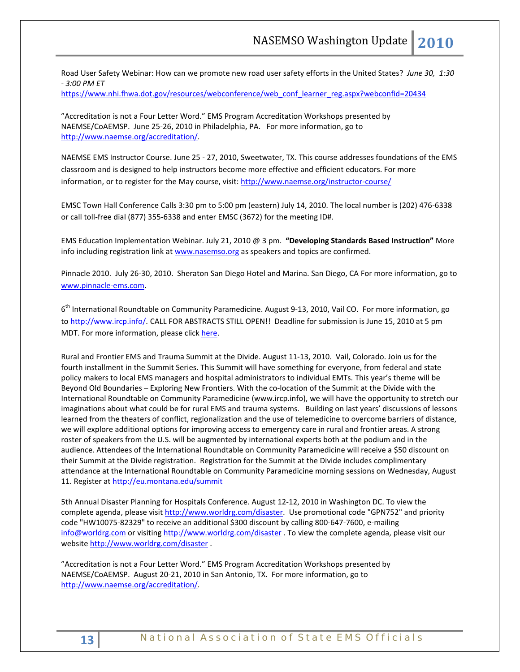Road User Safety Webinar: How can we promote new road user safety efforts in the United States? *June 30, 1:30 - 3:00 PM ET*

[https://www.nhi.fhwa.dot.gov/resources/webconference/web\\_conf\\_learner\\_reg.aspx?webconfid=20434](https://www.nhi.fhwa.dot.gov/resources/webconference/web_conf_learner_reg.aspx?webconfid=20434)

"Accreditation is not a Four Letter Word." EMS Program Accreditation Workshops presented by NAEMSE/CoAEMSP. June 25-26, 2010 in Philadelphia, PA. For more information, go to [http://www.naemse.org/accreditation/.](http://www.naemse.org/accreditation/)

NAEMSE EMS Instructor Course. June 25 - 27, 2010, Sweetwater, TX. This course addresses foundations of the EMS classroom and is designed to help instructors become more effective and efficient educators. For more information, or to register for the May course, visit[: http://www.naemse.org/instructor-course/](http://www.naemse.org/instructor-course/)

EMSC Town Hall Conference Calls 3:30 pm to 5:00 pm (eastern) July 14, 2010. The local number is (202) 476-6338 or call toll-free dial (877) 355-6338 and enter EMSC (3672) for the meeting ID#.

EMS Education Implementation Webinar. July 21, 2010 @ 3 pm. **"Developing Standards Based Instruction"** More info including registration link a[t www.nasemso.org](http://www.nasemso.org/) as speakers and topics are confirmed.

Pinnacle 2010. July 26-30, 2010. Sheraton San Diego Hotel and Marina. San Diego, CA For more information, go to [www.pinnacle-ems.com.](http://www.pinnacle-ems.com/) 

6<sup>th</sup> International Roundtable on Community Paramedicine. August 9-13, 2010, Vail CO. For more information, go to [http://www.ircp.info/.](http://www.ircp.info/) CALL FOR ABSTRACTS STILL OPEN!! Deadline for submission is June 15, 2010 at 5 pm MDT. For more information, please click [here.](http://ircp.info/LinkClick.aspx?fileticket=mJB%2fkPjEeFc%3d&tabid=233&mid=730)

Rural and Frontier EMS and Trauma Summit at the Divide. August 11-13, 2010. Vail, Colorado. Join us for the fourth installment in the Summit Series. This Summit will have something for everyone, from federal and state policy makers to local EMS managers and hospital administrators to individual EMTs. This year's theme will be Beyond Old Boundaries – Exploring New Frontiers. With the co-location of the Summit at the Divide with the International Roundtable on Community Paramedicine (www.ircp.info), we will have the opportunity to stretch our imaginations about what could be for rural EMS and trauma systems. Building on last years' discussions of lessons learned from the theaters of conflict, regionalization and the use of telemedicine to overcome barriers of distance, we will explore additional options for improving access to emergency care in rural and frontier areas. A strong roster of speakers from the U.S. will be augmented by international experts both at the podium and in the audience. Attendees of the International Roundtable on Community Paramedicine will receive a \$50 discount on their Summit at the Divide registration. Registration for the Summit at the Divide includes complimentary attendance at the International Roundtable on Community Paramedicine morning sessions on Wednesday, August 11. Register a[t http://eu.montana.edu/summit](http://eu.montana.edu/summit)

5th Annual Disaster Planning for Hospitals Conference. August 12-12, 2010 in Washington DC. To view the complete agenda, please visit [http://www.worldrg.com/disaster.](http://econnect.dmsgs.com/t/8631688/83269114/258003/0/) Use promotional code "GPN752" and priority code "HW10075-82329" to receive an additional \$300 discount by calling 800-647-7600, e-mailing [info@worldrg.com](mailto:info@worldrg.com) or visitin[g http://www.worldrg.com/disaster](http://econnect.dmsgs.com/t/8631688/83269114/258003/0/) . To view the complete agenda, please visit our website [http://www.worldrg.com/disaster](http://econnect.dmsgs.com/t/8631688/83269114/258003/0/) .

"Accreditation is not a Four Letter Word." EMS Program Accreditation Workshops presented by NAEMSE/CoAEMSP. August 20-21, 2010 in San Antonio, TX. For more information, go to [http://www.naemse.org/accreditation/.](http://www.naemse.org/accreditation/)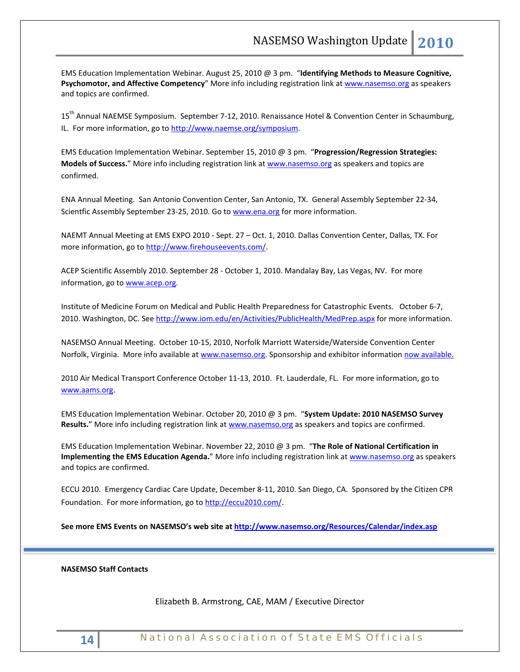EMS Education Implementation Webinar. August 25, 2010 @ 3 pm. "**Identifying Methods to Measure Cognitive, Psychomotor, and Affective Competency**" More info including registration link at [www.nasemso.org](http://www.nasemso.org/) as speakers and topics are confirmed.

15<sup>th</sup> Annual NAEMSE Symposium. September 7-12, 2010. Renaissance Hotel & Convention Center in Schaumburg, IL. For more information, go to http://www.naemse.org/symposium.

EMS Education Implementation Webinar. September 15, 2010 @ 3 pm. "**Progression/Regression Strategies: Models of Success.**" More info including registration link at [www.nasemso.org](http://www.nasemso.org/) as speakers and topics are confirmed.

ENA Annual Meeting. San Antonio Convention Center, San Antonio, TX. General Assembly September 22-34, Scientfic Assembly September 23-25, 2010. Go to [www.ena.org](http://www.ena.org/) for more information.

NAEMT Annual Meeting at EMS EXPO 2010 - Sept. 27 – Oct. 1, 2010. Dallas Convention Center, Dallas, TX. For more information, go to [http://www.firehouseevents.com/.](http://www.firehouseevents.com/)

ACEP Scientific Assembly 2010. September 28 - October 1, 2010. Mandalay Bay, Las Vegas, NV. For more information, go to www.acep.org.

Institute of Medicine Forum on Medical and Public Health Preparedness for Catastrophic Events. October 6-7, 2010. Washington, DC. See<http://www.iom.edu/en/Activities/PublicHealth/MedPrep.aspx> for more information.

NASEMSO Annual Meeting. October 10-15, 2010, Norfolk Marriott Waterside/Waterside Convention Center Norfolk, Virginia. More info available at [www.nasemso.org.](http://www.nasemso.org/) Sponsorship and exhibitor information [now available.](http://www.nasemso.org/Meetings/Annual/NASEMSO2010Sponsors-Exhibitors.asp)

2010 Air Medical Transport Conference October 11-13, 2010. Ft. Lauderdale, FL. For more information, go to [www.aams.org.](http://www.aams.org/) 

EMS Education Implementation Webinar. October 20, 2010 @ 3 pm. "**System Update: 2010 NASEMSO Survey**  Results." More info including registration link at [www.nasemso.org](http://www.nasemso.org/) as speakers and topics are confirmed.

EMS Education Implementation Webinar. November 22, 2010 @ 3 pm. "**The Role of National Certification in Implementing the EMS Education Agenda.**" More info including registration link at [www.nasemso.org](http://www.nasemso.org/) as speakers and topics are confirmed.

ECCU 2010. Emergency Cardiac Care Update, December 8-11, 2010. San Diego, CA. Sponsored by the Citizen CPR Foundation. For more information, go t[o http://eccu2010.com/.](http://eccu2010.com/)

**See more EMS Events on NASEMSO's web site at<http://www.nasemso.org/Resources/Calendar/index.asp>**

### **NASEMSO Staff Contacts**

Elizabeth B. Armstrong, CAE, MAM / Executive Director